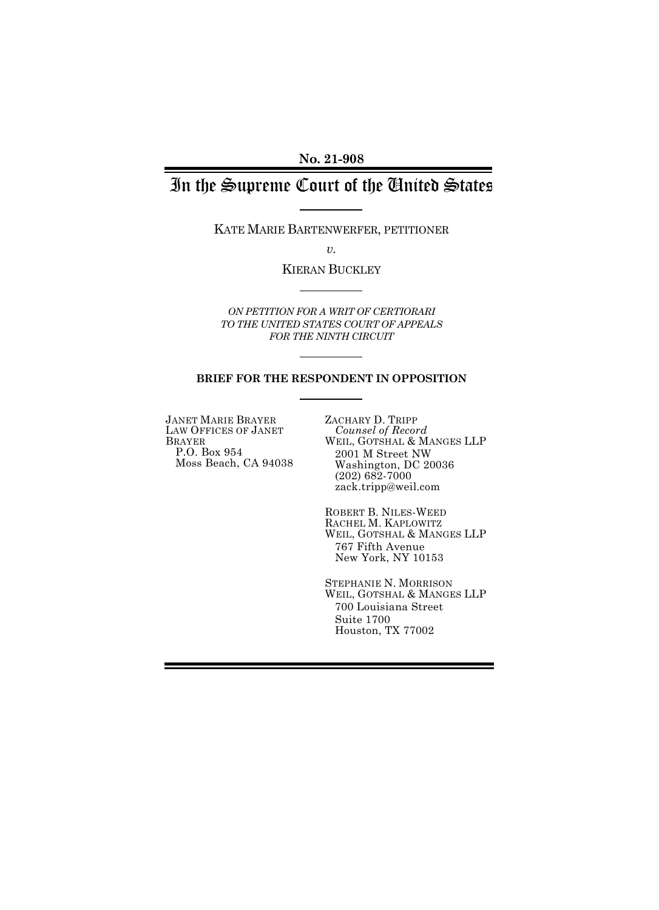**No. 21-908** 

# In the Supreme Court of the United States

KATE MARIE BARTENWERFER, PETITIONER

*v.* 

KIERAN BUCKLEY

*ON PETITION FOR A WRIT OF CERTIORARI TO THE UNITED STATES COURT OF APPEALS FOR THE NINTH CIRCUIT* 

#### **BRIEF FOR THE RESPONDENT IN OPPOSITION**

JANET MARIE BRAYER LAW OFFICES OF JANET BRAYER P.O. Box 954 Moss Beach, CA 94038 ZACHARY D. TRIPP *Counsel of Record*  WEIL, GOTSHAL & MANGES LLP 2001 M Street NW Washington, DC 20036 (202) 682-7000 zack.tripp@weil.com

ROBERT B. NILES-WEED RACHEL M. KAPLOWITZ WEIL, GOTSHAL & MANGES LLP 767 Fifth Avenue New York, NY 10153

STEPHANIE N. MORRISON WEIL, GOTSHAL & MANGES LLP 700 Louisiana Street Suite 1700 Houston, TX 77002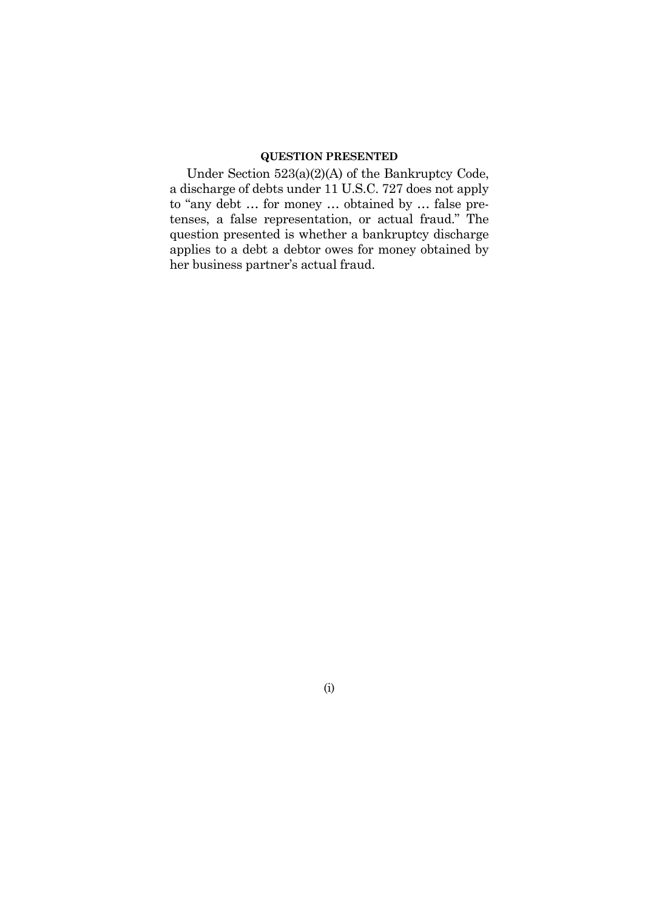## **QUESTION PRESENTED**

Under Section 523(a)(2)(A) of the Bankruptcy Code, a discharge of debts under 11 U.S.C. 727 does not apply to "any debt … for money … obtained by … false pretenses, a false representation, or actual fraud." The question presented is whether a bankruptcy discharge applies to a debt a debtor owes for money obtained by her business partner's actual fraud.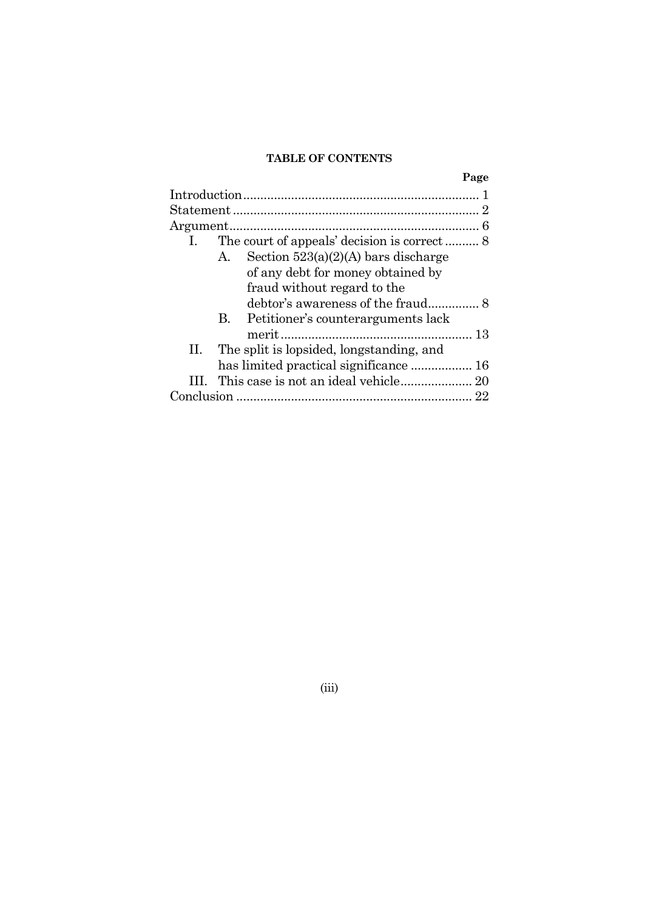### **TABLE OF CONTENTS**

|    |                                                    | Page |
|----|----------------------------------------------------|------|
|    |                                                    |      |
|    |                                                    |      |
|    |                                                    |      |
| 1. |                                                    |      |
|    | Section $523(a)(2)(A)$ bars discharge<br>А.        |      |
|    | of any debt for money obtained by                  |      |
|    | fraud without regard to the                        |      |
|    |                                                    |      |
|    | Petitioner's counterarguments lack<br>$\mathbf{B}$ |      |
|    |                                                    |      |
| П. | The split is lopsided, longstanding, and           |      |
|    |                                                    |      |
|    |                                                    |      |
|    |                                                    |      |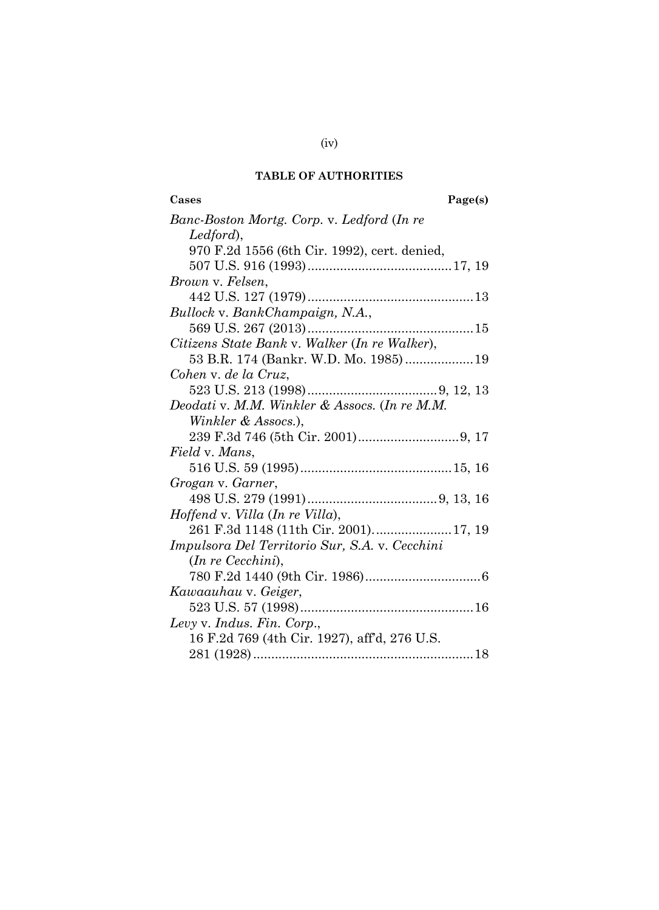# **TABLE OF AUTHORITIES**

**Cases Page(s)** 

| Banc-Boston Mortg. Corp. v. Ledford (In re     |
|------------------------------------------------|
| Ledford),                                      |
| 970 F.2d 1556 (6th Cir. 1992), cert. denied,   |
|                                                |
| Brown v. Felsen,                               |
|                                                |
| Bullock v. BankChampaign, N.A.,                |
|                                                |
| Citizens State Bank v. Walker (In re Walker),  |
| 53 B.R. 174 (Bankr. W.D. Mo. 1985)19           |
| Cohen v. de la Cruz,                           |
|                                                |
| Deodati v. M.M. Winkler & Assocs. (In re M.M.  |
| Winkler & Assocs.),                            |
|                                                |
| <i>Field</i> v. Mans.                          |
|                                                |
| Grogan v. Garner,                              |
|                                                |
| Hoffend v. Villa (In re Villa),                |
| 261 F.3d 1148 (11th Cir. 2001)17, 19           |
| Impulsora Del Territorio Sur, S.A. v. Cecchini |
| $(In \ re \ Cecchini),$                        |
|                                                |
| Kawaauhau v. Geiger,                           |
|                                                |
| Levy v. Indus. Fin. Corp.,                     |
| 16 F.2d 769 (4th Cir. 1927), aff'd, 276 U.S.   |
|                                                |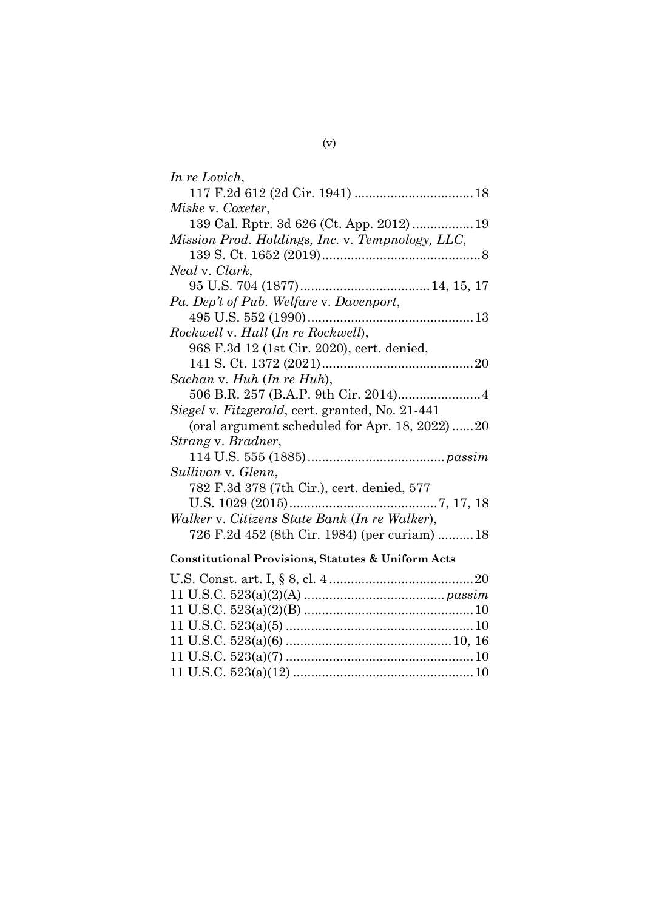| In re Lovich,                                    |
|--------------------------------------------------|
|                                                  |
| Miske v. Coxeter,                                |
|                                                  |
| Mission Prod. Holdings, Inc. v. Tempnology, LLC, |
|                                                  |
| Neal v. Clark,                                   |
|                                                  |
| Pa. Dep't of Pub. Welfare v. Davenport,          |
|                                                  |
| Rockwell v. Hull (In re Rockwell),               |
| 968 F.3d 12 (1st Cir. 2020), cert. denied,       |
|                                                  |
| Sachan v. Huh (In re Huh),                       |
|                                                  |
|                                                  |
| Siegel v. Fitzgerald, cert. granted, No. 21-441  |
| (oral argument scheduled for Apr. 18, 2022)20    |
| Strang v. Bradner,                               |
|                                                  |
| Sullivan v. Glenn,                               |
| 782 F.3d 378 (7th Cir.), cert. denied, 577       |
|                                                  |
| Walker v. Citizens State Bank (In re Walker),    |
| 726 F.2d 452 (8th Cir. 1984) (per curiam) 18     |
|                                                  |

# **Constitutional Provisions, Statutes & Uniform Acts**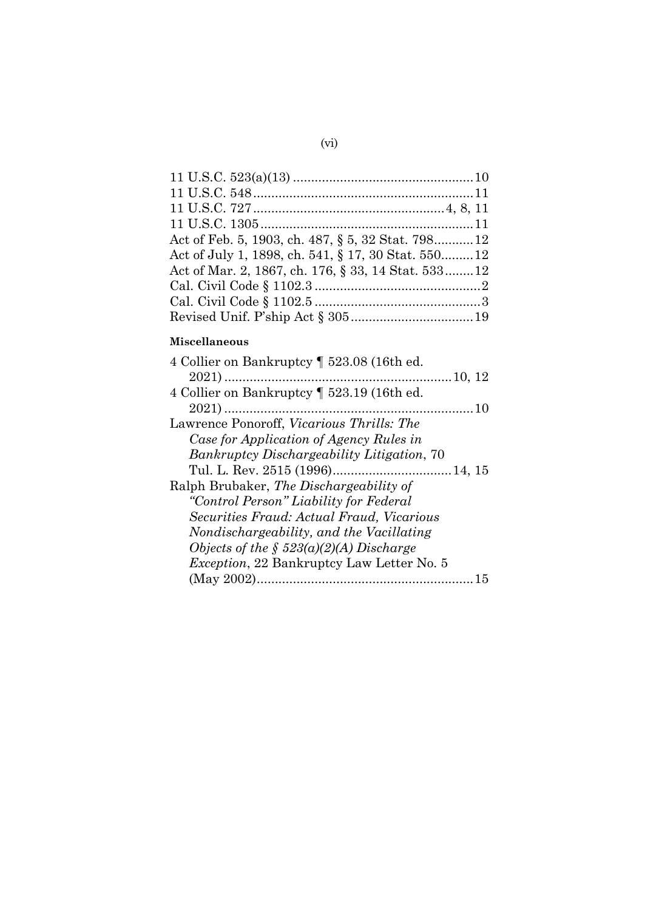| Act of Feb. 5, 1903, ch. 487, § 5, 32 Stat. 79812   |
|-----------------------------------------------------|
| Act of July 1, 1898, ch. 541, § 17, 30 Stat. 550 12 |
| Act of Mar. 2, 1867, ch. 176, § 33, 14 Stat. 533 12 |
|                                                     |
|                                                     |
|                                                     |

# **Miscellaneous**

| 4 Collier on Bankruptcy   523.08 (16th ed.        |
|---------------------------------------------------|
|                                                   |
| 4 Collier on Bankruptcy   523.19 (16th ed.        |
|                                                   |
| Lawrence Ponoroff, Vicarious Thrills: The         |
| Case for Application of Agency Rules in           |
| <b>Bankruptcy Dischargeability Litigation, 70</b> |
|                                                   |
| Ralph Brubaker, The Dischargeability of           |
| "Control Person" Liability for Federal            |
| <i>Securities Fraud: Actual Fraud, Vicarious</i>  |
| Nondischargeability, and the Vacillating          |
| Objects of the § $523(a)(2)(A)$ Discharge         |
| <i>Exception</i> , 22 Bankruptcy Law Letter No. 5 |
|                                                   |
|                                                   |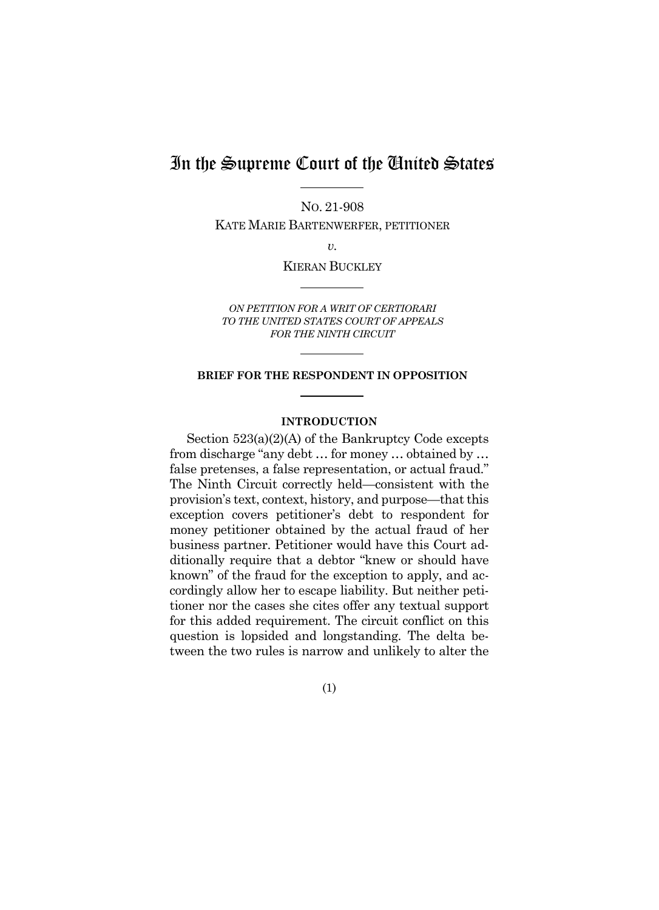# In the Supreme Court of the United States

NO. 21-908

KATE MARIE BARTENWERFER, PETITIONER

*v.* 

KIERAN BUCKLEY

*ON PETITION FOR A WRIT OF CERTIORARI TO THE UNITED STATES COURT OF APPEALS FOR THE NINTH CIRCUIT* 

#### **BRIEF FOR THE RESPONDENT IN OPPOSITION**

#### **INTRODUCTION**

Section  $523(a)(2)(A)$  of the Bankruptcy Code excepts from discharge "any debt … for money … obtained by … false pretenses, a false representation, or actual fraud." The Ninth Circuit correctly held—consistent with the provision's text, context, history, and purpose—that this exception covers petitioner's debt to respondent for money petitioner obtained by the actual fraud of her business partner. Petitioner would have this Court additionally require that a debtor "knew or should have known" of the fraud for the exception to apply, and accordingly allow her to escape liability. But neither petitioner nor the cases she cites offer any textual support for this added requirement. The circuit conflict on this question is lopsided and longstanding. The delta between the two rules is narrow and unlikely to alter the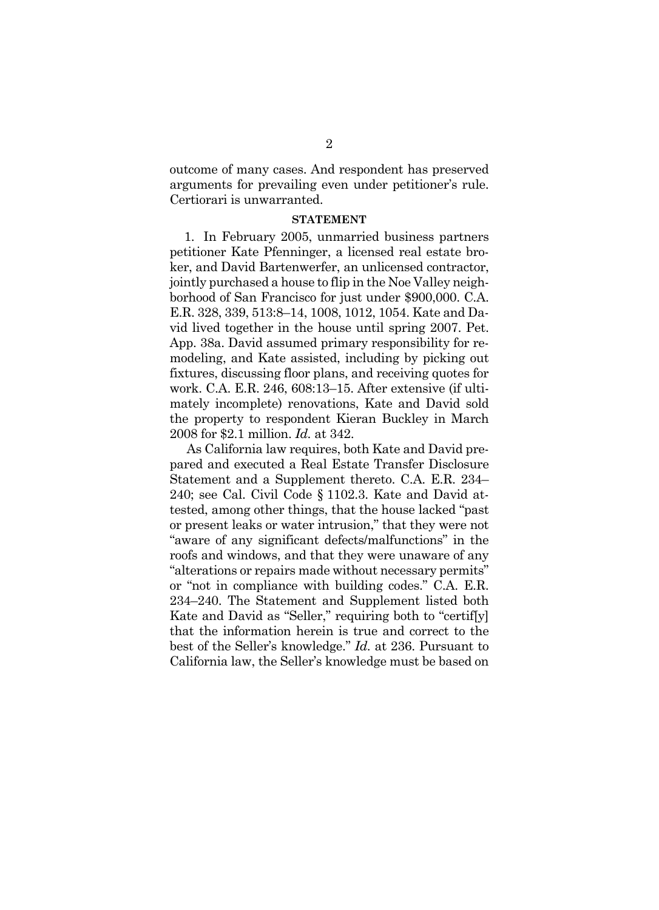outcome of many cases. And respondent has preserved arguments for prevailing even under petitioner's rule. Certiorari is unwarranted.

#### **STATEMENT**

1. In February 2005, unmarried business partners petitioner Kate Pfenninger, a licensed real estate broker, and David Bartenwerfer, an unlicensed contractor, jointly purchased a house to flip in the Noe Valley neighborhood of San Francisco for just under \$900,000. C.A. E.R. 328, 339, 513:8–14, 1008, 1012, 1054. Kate and David lived together in the house until spring 2007. Pet. App. 38a. David assumed primary responsibility for remodeling, and Kate assisted, including by picking out fixtures, discussing floor plans, and receiving quotes for work. C.A. E.R. 246, 608:13–15. After extensive (if ultimately incomplete) renovations, Kate and David sold the property to respondent Kieran Buckley in March 2008 for \$2.1 million. *Id.* at 342.

As California law requires, both Kate and David prepared and executed a Real Estate Transfer Disclosure Statement and a Supplement thereto. C.A. E.R. 234– 240; see Cal. Civil Code § 1102.3. Kate and David attested, among other things, that the house lacked "past or present leaks or water intrusion," that they were not "aware of any significant defects/malfunctions" in the roofs and windows, and that they were unaware of any "alterations or repairs made without necessary permits" or "not in compliance with building codes." C.A. E.R. 234–240. The Statement and Supplement listed both Kate and David as "Seller," requiring both to "certif[y] that the information herein is true and correct to the best of the Seller's knowledge." *Id.* at 236. Pursuant to California law, the Seller's knowledge must be based on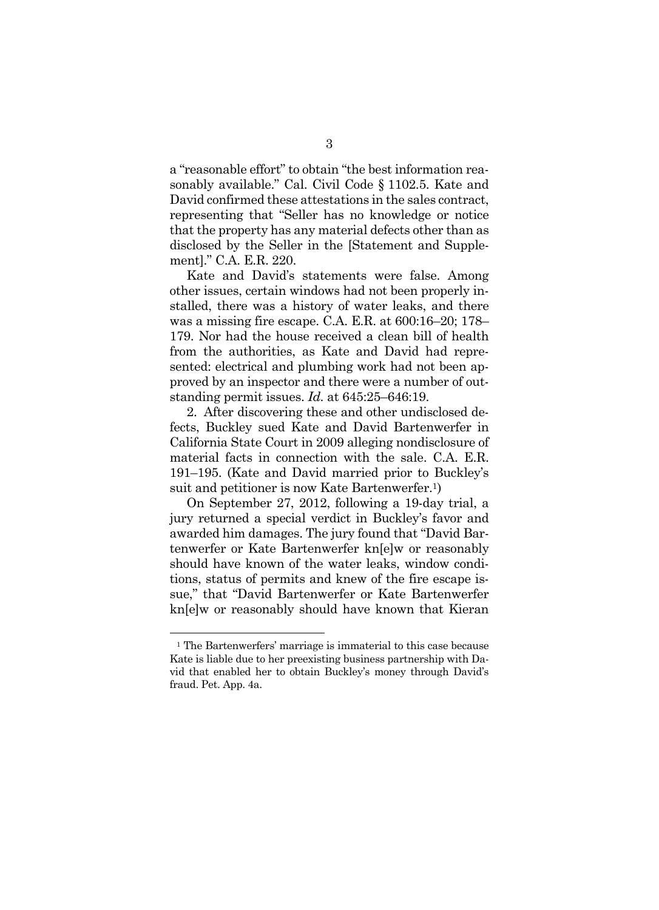a "reasonable effort" to obtain "the best information reasonably available." Cal. Civil Code § 1102.5. Kate and David confirmed these attestations in the sales contract, representing that "Seller has no knowledge or notice that the property has any material defects other than as disclosed by the Seller in the [Statement and Supplement]." C.A. E.R. 220.

Kate and David's statements were false. Among other issues, certain windows had not been properly installed, there was a history of water leaks, and there was a missing fire escape. C.A. E.R. at 600:16–20; 178– 179. Nor had the house received a clean bill of health from the authorities, as Kate and David had represented: electrical and plumbing work had not been approved by an inspector and there were a number of outstanding permit issues. *Id.* at 645:25–646:19.

2. After discovering these and other undisclosed defects, Buckley sued Kate and David Bartenwerfer in California State Court in 2009 alleging nondisclosure of material facts in connection with the sale. C.A. E.R. 191–195. (Kate and David married prior to Buckley's suit and petitioner is now Kate Bartenwerfer.1)

On September 27, 2012, following a 19-day trial, a jury returned a special verdict in Buckley's favor and awarded him damages. The jury found that "David Bartenwerfer or Kate Bartenwerfer kn[e]w or reasonably should have known of the water leaks, window conditions, status of permits and knew of the fire escape issue," that "David Bartenwerfer or Kate Bartenwerfer kn[e]w or reasonably should have known that Kieran

l

<sup>&</sup>lt;sup>1</sup> The Bartenwerfers' marriage is immaterial to this case because Kate is liable due to her preexisting business partnership with David that enabled her to obtain Buckley's money through David's fraud. Pet. App. 4a.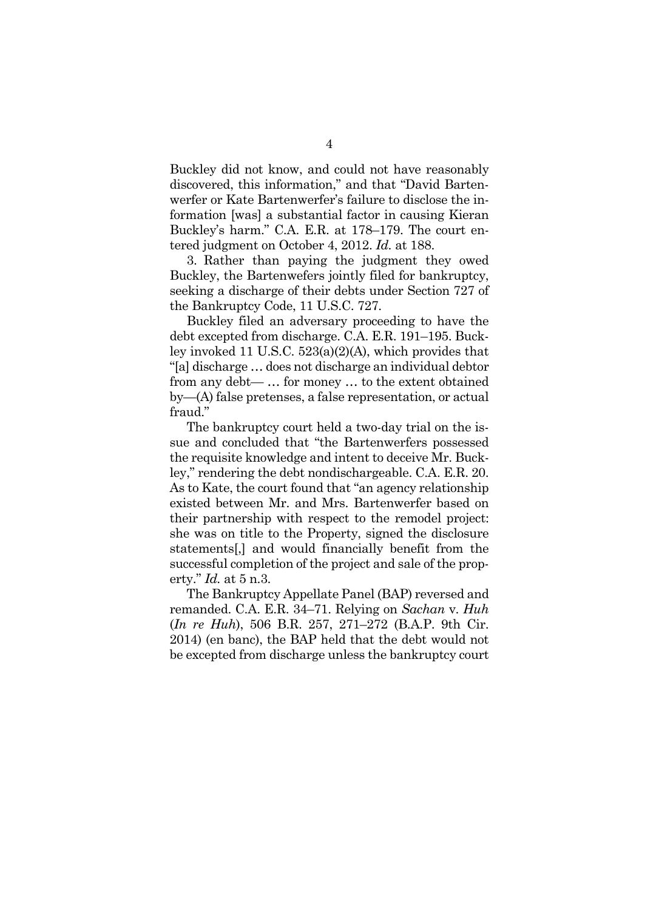Buckley did not know, and could not have reasonably discovered, this information," and that "David Bartenwerfer or Kate Bartenwerfer's failure to disclose the information [was] a substantial factor in causing Kieran Buckley's harm." C.A. E.R. at 178–179. The court entered judgment on October 4, 2012. *Id.* at 188.

3. Rather than paying the judgment they owed Buckley, the Bartenwefers jointly filed for bankruptcy, seeking a discharge of their debts under Section 727 of the Bankruptcy Code, 11 U.S.C. 727.

Buckley filed an adversary proceeding to have the debt excepted from discharge. C.A. E.R. 191–195. Buckley invoked 11 U.S.C. 523(a)(2)(A), which provides that "[a] discharge … does not discharge an individual debtor from any debt— … for money … to the extent obtained by—(A) false pretenses, a false representation, or actual fraud."

The bankruptcy court held a two-day trial on the issue and concluded that "the Bartenwerfers possessed the requisite knowledge and intent to deceive Mr. Buckley," rendering the debt nondischargeable. C.A. E.R. 20. As to Kate, the court found that "an agency relationship existed between Mr. and Mrs. Bartenwerfer based on their partnership with respect to the remodel project: she was on title to the Property, signed the disclosure statements[,] and would financially benefit from the successful completion of the project and sale of the property." *Id.* at 5 n.3.

The Bankruptcy Appellate Panel (BAP) reversed and remanded. C.A. E.R. 34–71. Relying on *Sachan* v. *Huh*  (*In re Huh*), 506 B.R. 257, 271–272 (B.A.P. 9th Cir. 2014) (en banc), the BAP held that the debt would not be excepted from discharge unless the bankruptcy court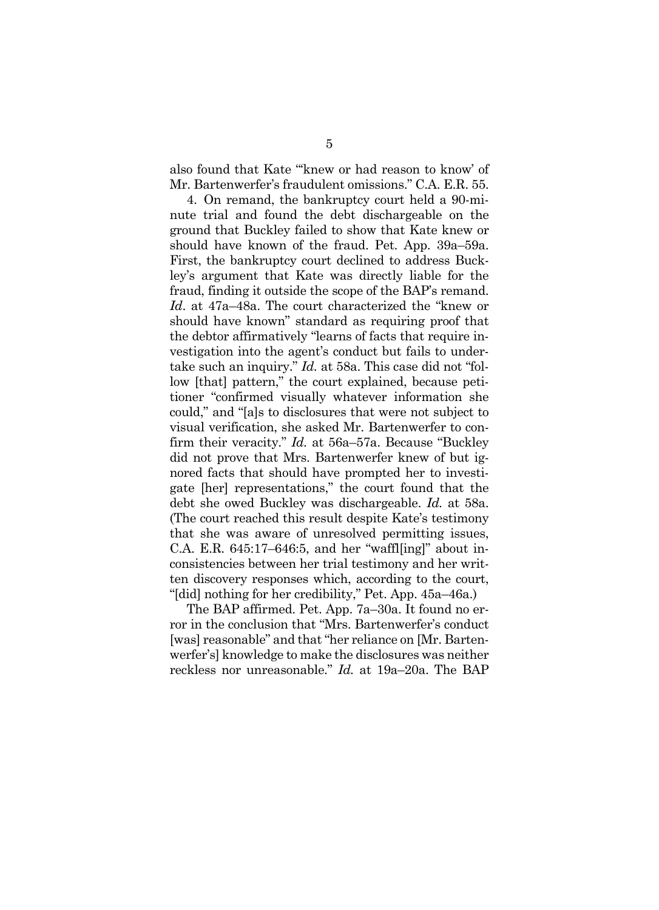also found that Kate "'knew or had reason to know' of Mr. Bartenwerfer's fraudulent omissions." C.A. E.R. 55.

4. On remand, the bankruptcy court held a 90-minute trial and found the debt dischargeable on the ground that Buckley failed to show that Kate knew or should have known of the fraud. Pet. App. 39a–59a. First, the bankruptcy court declined to address Buckley's argument that Kate was directly liable for the fraud, finding it outside the scope of the BAP's remand. *Id*. at 47a–48a. The court characterized the "knew or should have known" standard as requiring proof that the debtor affirmatively "learns of facts that require investigation into the agent's conduct but fails to undertake such an inquiry." *Id.* at 58a. This case did not "follow [that] pattern," the court explained, because petitioner "confirmed visually whatever information she could," and "[a]s to disclosures that were not subject to visual verification, she asked Mr. Bartenwerfer to confirm their veracity." *Id.* at 56a–57a. Because "Buckley did not prove that Mrs. Bartenwerfer knew of but ignored facts that should have prompted her to investigate [her] representations," the court found that the debt she owed Buckley was dischargeable. *Id.* at 58a. (The court reached this result despite Kate's testimony that she was aware of unresolved permitting issues, C.A. E.R. 645:17–646:5, and her "waffl[ing]" about inconsistencies between her trial testimony and her written discovery responses which, according to the court, "[did] nothing for her credibility," Pet. App. 45a–46a.)

The BAP affirmed. Pet. App. 7a–30a. It found no error in the conclusion that "Mrs. Bartenwerfer's conduct [was] reasonable" and that "her reliance on [Mr. Bartenwerfer's] knowledge to make the disclosures was neither reckless nor unreasonable." *Id.* at 19a–20a. The BAP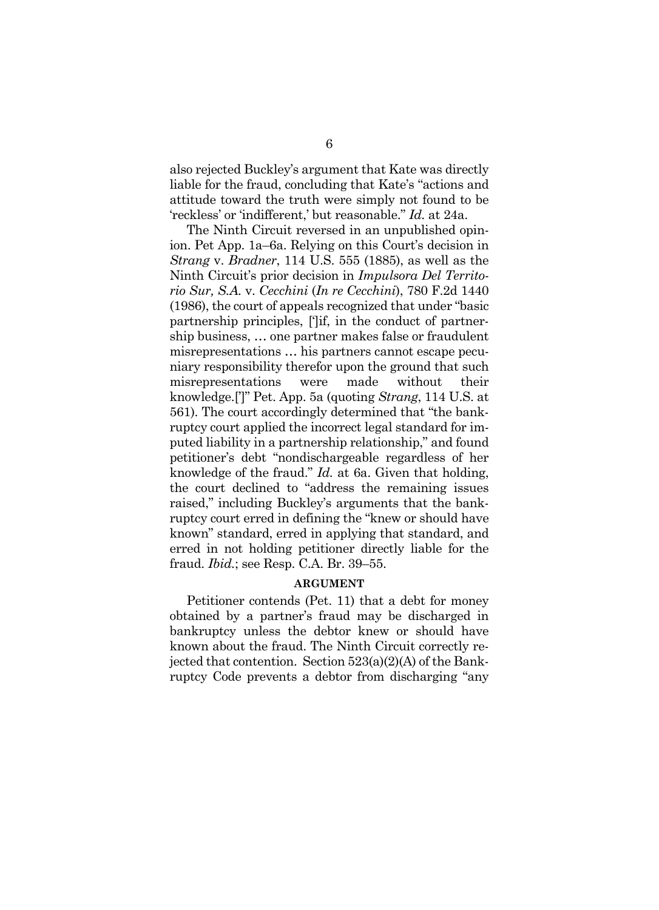also rejected Buckley's argument that Kate was directly liable for the fraud, concluding that Kate's "actions and attitude toward the truth were simply not found to be 'reckless' or 'indifferent,' but reasonable." *Id.* at 24a.

The Ninth Circuit reversed in an unpublished opinion. Pet App. 1a–6a. Relying on this Court's decision in *Strang* v. *Bradner*, 114 U.S. 555 (1885), as well as the Ninth Circuit's prior decision in *Impulsora Del Territorio Sur, S.A.* v. *Cecchini* (*In re Cecchini*), 780 F.2d 1440 (1986), the court of appeals recognized that under "basic partnership principles, [']if, in the conduct of partnership business, … one partner makes false or fraudulent misrepresentations … his partners cannot escape pecuniary responsibility therefor upon the ground that such misrepresentations were made without their knowledge.[']" Pet. App. 5a (quoting *Strang*, 114 U.S. at 561). The court accordingly determined that "the bankruptcy court applied the incorrect legal standard for imputed liability in a partnership relationship," and found petitioner's debt "nondischargeable regardless of her knowledge of the fraud." *Id.* at 6a. Given that holding, the court declined to "address the remaining issues raised," including Buckley's arguments that the bankruptcy court erred in defining the "knew or should have known" standard, erred in applying that standard, and erred in not holding petitioner directly liable for the fraud. *Ibid.*; see Resp. C.A. Br. 39–55.

#### **ARGUMENT**

Petitioner contends (Pet. 11) that a debt for money obtained by a partner's fraud may be discharged in bankruptcy unless the debtor knew or should have known about the fraud. The Ninth Circuit correctly rejected that contention. Section 523(a)(2)(A) of the Bankruptcy Code prevents a debtor from discharging "any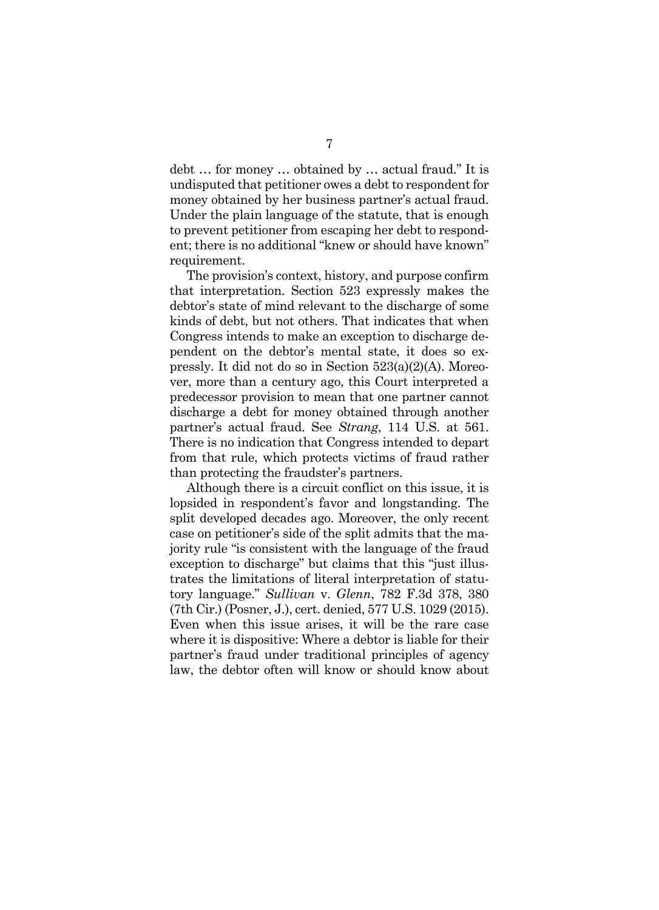debt … for money … obtained by … actual fraud." It is undisputed that petitioner owes a debt to respondent for money obtained by her business partner's actual fraud. Under the plain language of the statute, that is enough to prevent petitioner from escaping her debt to respondent; there is no additional "knew or should have known" requirement.

The provision's context, history, and purpose confirm that interpretation. Section 523 expressly makes the debtor's state of mind relevant to the discharge of some kinds of debt, but not others. That indicates that when Congress intends to make an exception to discharge dependent on the debtor's mental state, it does so expressly. It did not do so in Section 523(a)(2)(A). Moreover, more than a century ago, this Court interpreted a predecessor provision to mean that one partner cannot discharge a debt for money obtained through another partner's actual fraud. See *Strang*, 114 U.S. at 561. There is no indication that Congress intended to depart from that rule, which protects victims of fraud rather than protecting the fraudster's partners.

Although there is a circuit conflict on this issue, it is lopsided in respondent's favor and longstanding. The split developed decades ago. Moreover, the only recent case on petitioner's side of the split admits that the majority rule "is consistent with the language of the fraud exception to discharge" but claims that this "just illustrates the limitations of literal interpretation of statutory language." *Sullivan* v. *Glenn*, 782 F.3d 378, 380 (7th Cir.) (Posner, J.), cert. denied, 577 U.S. 1029 (2015). Even when this issue arises, it will be the rare case where it is dispositive: Where a debtor is liable for their partner's fraud under traditional principles of agency law, the debtor often will know or should know about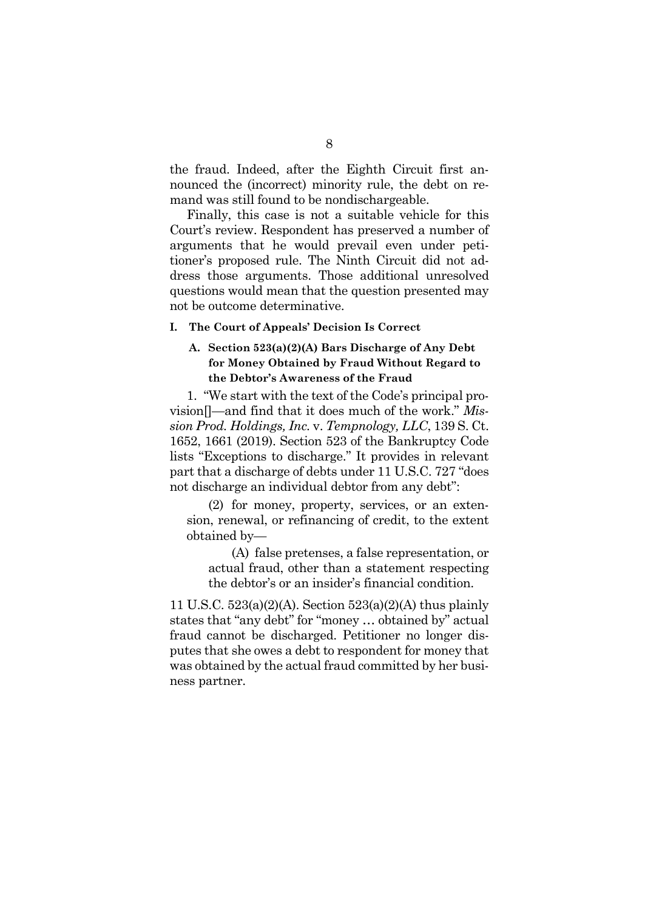the fraud. Indeed, after the Eighth Circuit first announced the (incorrect) minority rule, the debt on remand was still found to be nondischargeable.

Finally, this case is not a suitable vehicle for this Court's review. Respondent has preserved a number of arguments that he would prevail even under petitioner's proposed rule. The Ninth Circuit did not address those arguments. Those additional unresolved questions would mean that the question presented may not be outcome determinative.

#### **I. The Court of Appeals' Decision Is Correct**

## **A. Section 523(a)(2)(A) Bars Discharge of Any Debt for Money Obtained by Fraud Without Regard to the Debtor's Awareness of the Fraud**

1. "We start with the text of the Code's principal provision[]—and find that it does much of the work." *Mission Prod. Holdings, Inc.* v. *Tempnology, LLC*, 139 S. Ct. 1652, 1661 (2019). Section 523 of the Bankruptcy Code lists "Exceptions to discharge." It provides in relevant part that a discharge of debts under 11 U.S.C. 727 "does not discharge an individual debtor from any debt":

 (2) for money, property, services, or an extension, renewal, or refinancing of credit, to the extent obtained by—

 (A) false pretenses, a false representation, or actual fraud, other than a statement respecting the debtor's or an insider's financial condition.

11 U.S.C. 523(a)(2)(A). Section 523(a)(2)(A) thus plainly states that "any debt" for "money … obtained by" actual fraud cannot be discharged. Petitioner no longer disputes that she owes a debt to respondent for money that was obtained by the actual fraud committed by her business partner.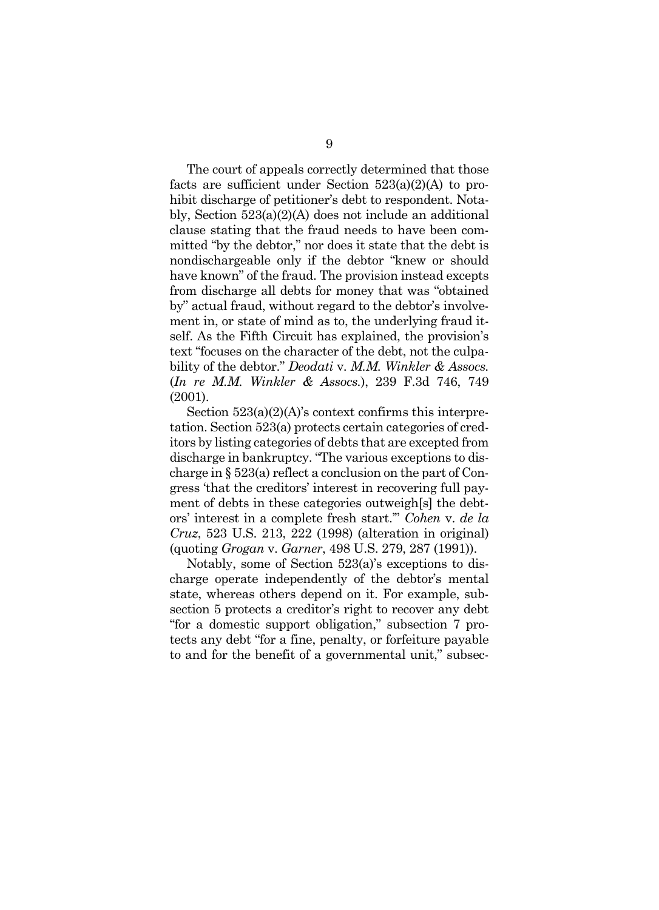The court of appeals correctly determined that those facts are sufficient under Section  $523(a)(2)(A)$  to prohibit discharge of petitioner's debt to respondent. Notably, Section 523(a)(2)(A) does not include an additional clause stating that the fraud needs to have been committed "by the debtor," nor does it state that the debt is nondischargeable only if the debtor "knew or should have known" of the fraud. The provision instead excepts from discharge all debts for money that was "obtained by" actual fraud, without regard to the debtor's involvement in, or state of mind as to, the underlying fraud itself. As the Fifth Circuit has explained, the provision's text "focuses on the character of the debt, not the culpability of the debtor." *Deodati* v. *M.M. Winkler & Assocs.* (*In re M.M. Winkler & Assocs.*), 239 F.3d 746, 749 (2001).

Section  $523(a)(2)(A)$ 's context confirms this interpretation. Section 523(a) protects certain categories of creditors by listing categories of debts that are excepted from discharge in bankruptcy. "The various exceptions to discharge in § 523(a) reflect a conclusion on the part of Congress 'that the creditors' interest in recovering full payment of debts in these categories outweigh[s] the debtors' interest in a complete fresh start.'" *Cohen* v. *de la Cruz*, 523 U.S. 213, 222 (1998) (alteration in original) (quoting *Grogan* v. *Garner*, 498 U.S. 279, 287 (1991)).

Notably, some of Section 523(a)'s exceptions to discharge operate independently of the debtor's mental state, whereas others depend on it. For example, subsection 5 protects a creditor's right to recover any debt "for a domestic support obligation," subsection 7 protects any debt "for a fine, penalty, or forfeiture payable to and for the benefit of a governmental unit," subsec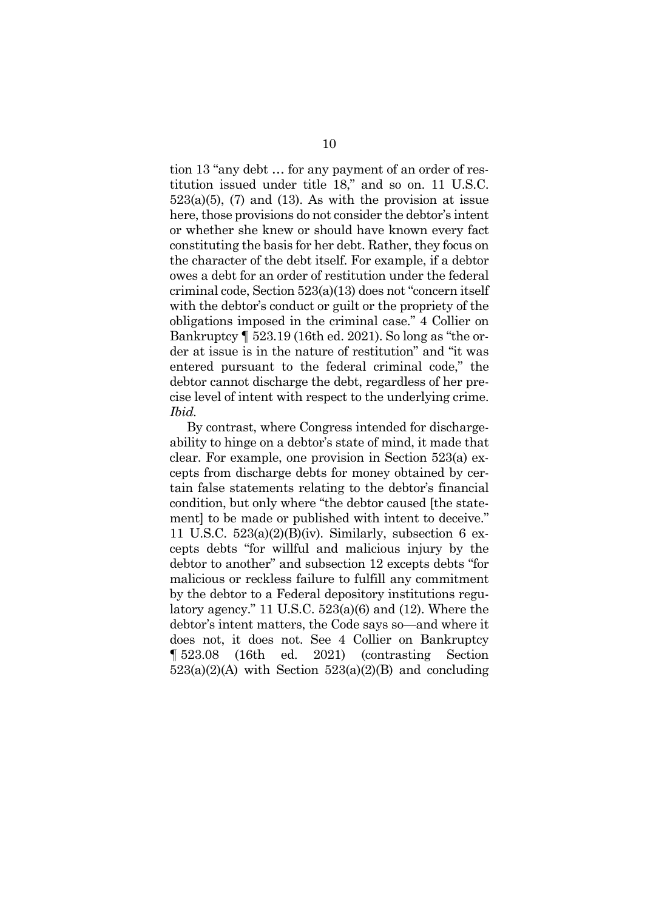tion 13 "any debt … for any payment of an order of restitution issued under title 18," and so on. 11 U.S.C.  $523(a)(5)$ ,  $(7)$  and  $(13)$ . As with the provision at issue here, those provisions do not consider the debtor's intent or whether she knew or should have known every fact constituting the basis for her debt. Rather, they focus on the character of the debt itself. For example, if a debtor owes a debt for an order of restitution under the federal criminal code, Section 523(a)(13) does not "concern itself with the debtor's conduct or guilt or the propriety of the obligations imposed in the criminal case." 4 Collier on Bankruptcy ¶ 523.19 (16th ed. 2021). So long as "the order at issue is in the nature of restitution" and "it was entered pursuant to the federal criminal code," the debtor cannot discharge the debt, regardless of her precise level of intent with respect to the underlying crime. *Ibid.*

By contrast, where Congress intended for dischargeability to hinge on a debtor's state of mind, it made that clear. For example, one provision in Section 523(a) excepts from discharge debts for money obtained by certain false statements relating to the debtor's financial condition, but only where "the debtor caused [the statement] to be made or published with intent to deceive." 11 U.S.C. 523(a)(2)(B)(iv). Similarly, subsection 6 excepts debts "for willful and malicious injury by the debtor to another" and subsection 12 excepts debts "for malicious or reckless failure to fulfill any commitment by the debtor to a Federal depository institutions regulatory agency." 11 U.S.C. 523(a)(6) and (12). Where the debtor's intent matters, the Code says so—and where it does not, it does not. See 4 Collier on Bankruptcy ¶ 523.08 (16th ed. 2021) (contrasting Section  $523(a)(2)(A)$  with Section  $523(a)(2)(B)$  and concluding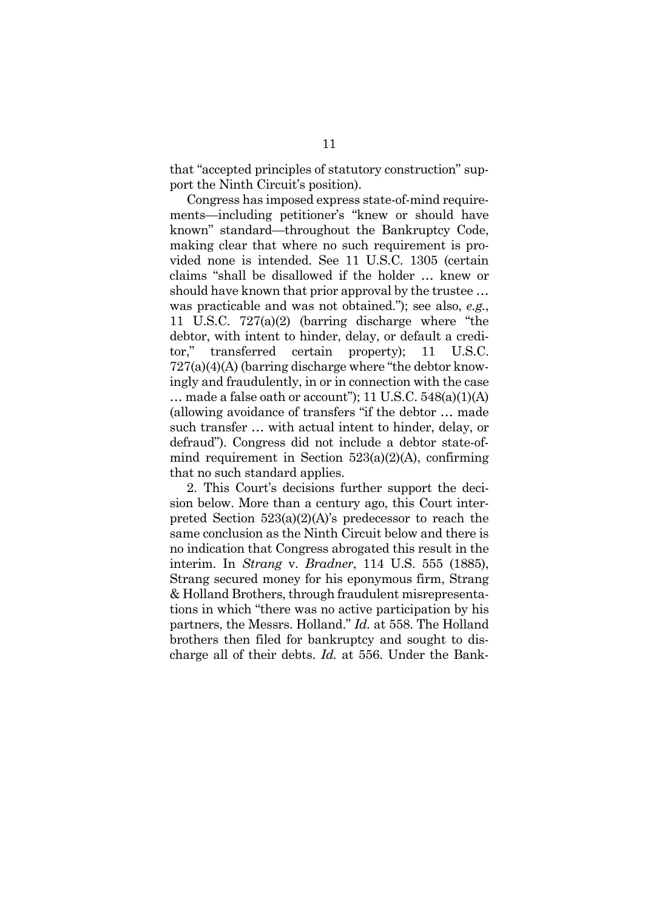that "accepted principles of statutory construction" support the Ninth Circuit's position).

Congress has imposed express state-of-mind requirements—including petitioner's "knew or should have known" standard—throughout the Bankruptcy Code, making clear that where no such requirement is provided none is intended. See 11 U.S.C. 1305 (certain claims "shall be disallowed if the holder … knew or should have known that prior approval by the trustee … was practicable and was not obtained."); see also, *e.g.*, 11 U.S.C. 727(a)(2) (barring discharge where "the debtor, with intent to hinder, delay, or default a creditor," transferred certain property); 11 U.S.C. 727(a)(4)(A) (barring discharge where "the debtor knowingly and fraudulently, in or in connection with the case  $\ldots$  made a false oath or account"); 11 U.S.C. 548(a)(1)(A) (allowing avoidance of transfers "if the debtor … made such transfer … with actual intent to hinder, delay, or defraud"). Congress did not include a debtor state-ofmind requirement in Section 523(a)(2)(A), confirming that no such standard applies.

2. This Court's decisions further support the decision below. More than a century ago, this Court interpreted Section 523(a)(2)(A)'s predecessor to reach the same conclusion as the Ninth Circuit below and there is no indication that Congress abrogated this result in the interim. In *Strang* v. *Bradner*, 114 U.S. 555 (1885), Strang secured money for his eponymous firm, Strang & Holland Brothers, through fraudulent misrepresentations in which "there was no active participation by his partners, the Messrs. Holland." *Id.* at 558. The Holland brothers then filed for bankruptcy and sought to discharge all of their debts. *Id.* at 556. Under the Bank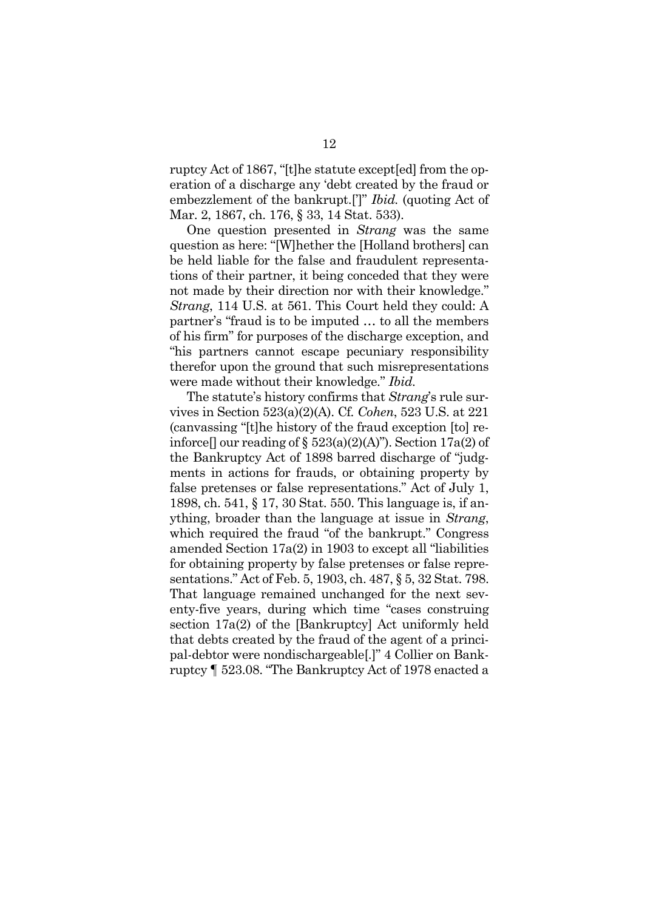ruptcy Act of 1867, "[t]he statute except[ed] from the operation of a discharge any 'debt created by the fraud or embezzlement of the bankrupt.[']" *Ibid.* (quoting Act of Mar. 2, 1867, ch. 176, § 33, 14 Stat. 533).

One question presented in *Strang* was the same question as here: "[W]hether the [Holland brothers] can be held liable for the false and fraudulent representations of their partner, it being conceded that they were not made by their direction nor with their knowledge." *Strang*, 114 U.S. at 561. This Court held they could: A partner's "fraud is to be imputed … to all the members of his firm" for purposes of the discharge exception, and "his partners cannot escape pecuniary responsibility therefor upon the ground that such misrepresentations were made without their knowledge." *Ibid.*

The statute's history confirms that *Strang*'s rule survives in Section 523(a)(2)(A). Cf*. Cohen*, 523 U.S. at 221 (canvassing "[t]he history of the fraud exception [to] reinforce  $\Box$  our reading of § 523(a)(2)(A)"). Section 17a(2) of the Bankruptcy Act of 1898 barred discharge of "judgments in actions for frauds, or obtaining property by false pretenses or false representations." Act of July 1, 1898, ch. 541, § 17, 30 Stat. 550. This language is, if anything, broader than the language at issue in *Strang*, which required the fraud "of the bankrupt." Congress amended Section 17a(2) in 1903 to except all "liabilities for obtaining property by false pretenses or false representations." Act of Feb. 5, 1903, ch. 487, § 5, 32 Stat. 798. That language remained unchanged for the next seventy-five years, during which time "cases construing section 17a(2) of the [Bankruptcy] Act uniformly held that debts created by the fraud of the agent of a principal-debtor were nondischargeable[.]" 4 Collier on Bankruptcy ¶ 523.08. "The Bankruptcy Act of 1978 enacted a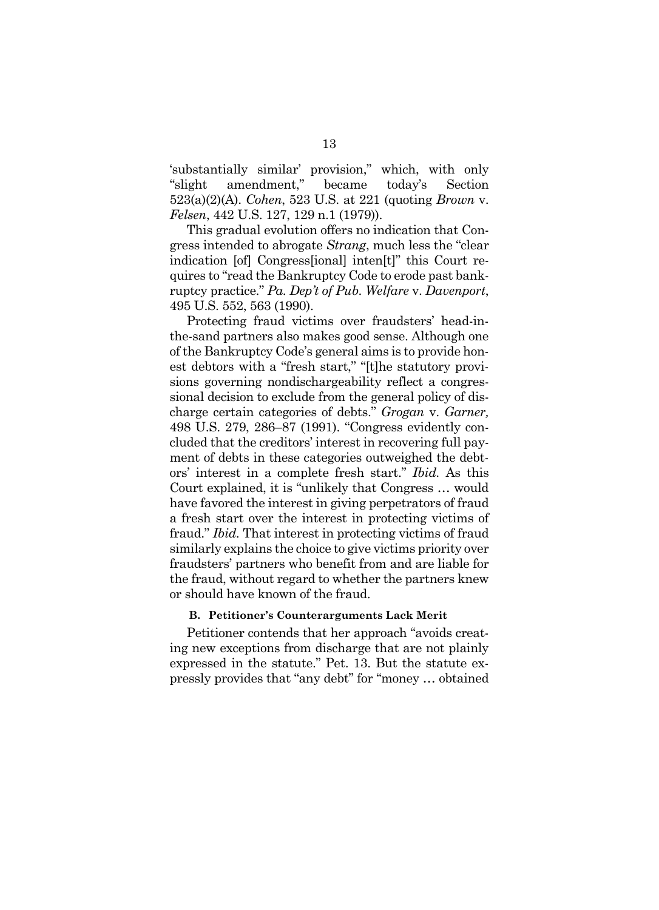'substantially similar' provision," which, with only "slight amendment," became today's Section 523(a)(2)(A). *Cohen*, 523 U.S. at 221 (quoting *Brown* v. *Felsen*, 442 U.S. 127, 129 n.1 (1979)).

This gradual evolution offers no indication that Congress intended to abrogate *Strang*, much less the "clear indication [of] Congress[ional] inten[t]" this Court requires to "read the Bankruptcy Code to erode past bankruptcy practice." *Pa. Dep't of Pub. Welfare* v. *Davenport*, 495 U.S. 552, 563 (1990).

Protecting fraud victims over fraudsters' head-inthe-sand partners also makes good sense. Although one of the Bankruptcy Code's general aims is to provide honest debtors with a "fresh start," "[t]he statutory provisions governing nondischargeability reflect a congressional decision to exclude from the general policy of discharge certain categories of debts." *Grogan* v. *Garner,*  498 U.S. 279, 286–87 (1991). "Congress evidently concluded that the creditors' interest in recovering full payment of debts in these categories outweighed the debtors' interest in a complete fresh start." *Ibid.* As this Court explained, it is "unlikely that Congress … would have favored the interest in giving perpetrators of fraud a fresh start over the interest in protecting victims of fraud." *Ibid.* That interest in protecting victims of fraud similarly explains the choice to give victims priority over fraudsters' partners who benefit from and are liable for the fraud, without regard to whether the partners knew or should have known of the fraud.

#### **B. Petitioner's Counterarguments Lack Merit**

Petitioner contends that her approach "avoids creating new exceptions from discharge that are not plainly expressed in the statute." Pet. 13. But the statute expressly provides that "any debt" for "money … obtained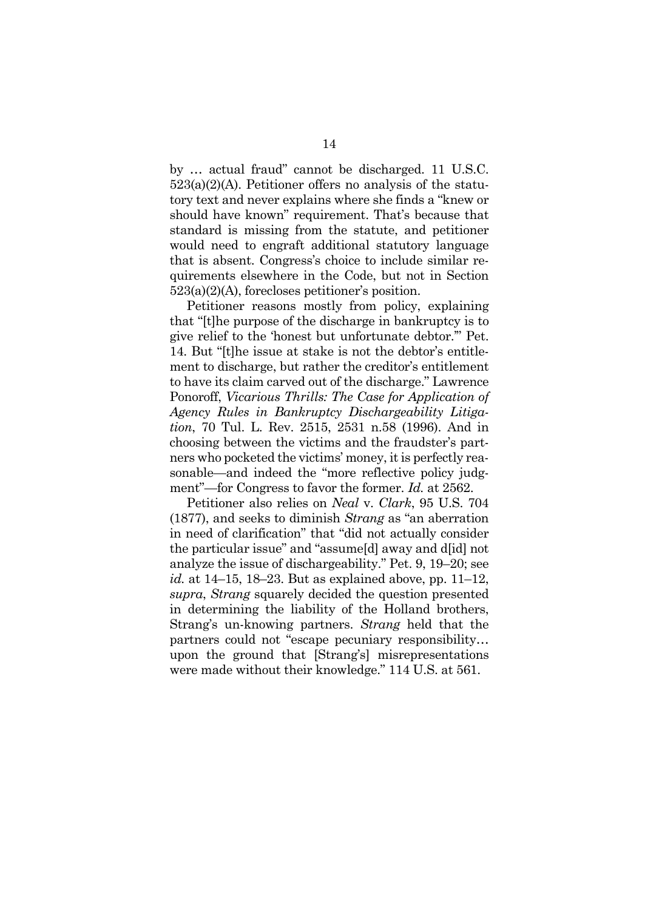by … actual fraud" cannot be discharged. 11 U.S.C. 523(a)(2)(A). Petitioner offers no analysis of the statutory text and never explains where she finds a "knew or should have known" requirement. That's because that standard is missing from the statute, and petitioner would need to engraft additional statutory language that is absent. Congress's choice to include similar requirements elsewhere in the Code, but not in Section 523(a)(2)(A), forecloses petitioner's position.

Petitioner reasons mostly from policy, explaining that "[t]he purpose of the discharge in bankruptcy is to give relief to the 'honest but unfortunate debtor.'" Pet. 14. But "[t]he issue at stake is not the debtor's entitlement to discharge, but rather the creditor's entitlement to have its claim carved out of the discharge." Lawrence Ponoroff, *Vicarious Thrills: The Case for Application of Agency Rules in Bankruptcy Dischargeability Litigation*, 70 Tul. L. Rev. 2515, 2531 n.58 (1996). And in choosing between the victims and the fraudster's partners who pocketed the victims' money, it is perfectly reasonable—and indeed the "more reflective policy judgment"—for Congress to favor the former. *Id.* at 2562.

Petitioner also relies on *Neal* v. *Clark*, 95 U.S. 704 (1877), and seeks to diminish *Strang* as "an aberration in need of clarification" that "did not actually consider the particular issue" and "assume[d] away and d[id] not analyze the issue of dischargeability." Pet. 9, 19–20; see *id.* at 14–15, 18–23. But as explained above, pp. 11–12, *supra*, *Strang* squarely decided the question presented in determining the liability of the Holland brothers, Strang's un-knowing partners. *Strang* held that the partners could not "escape pecuniary responsibility… upon the ground that [Strang's] misrepresentations were made without their knowledge." 114 U.S. at 561.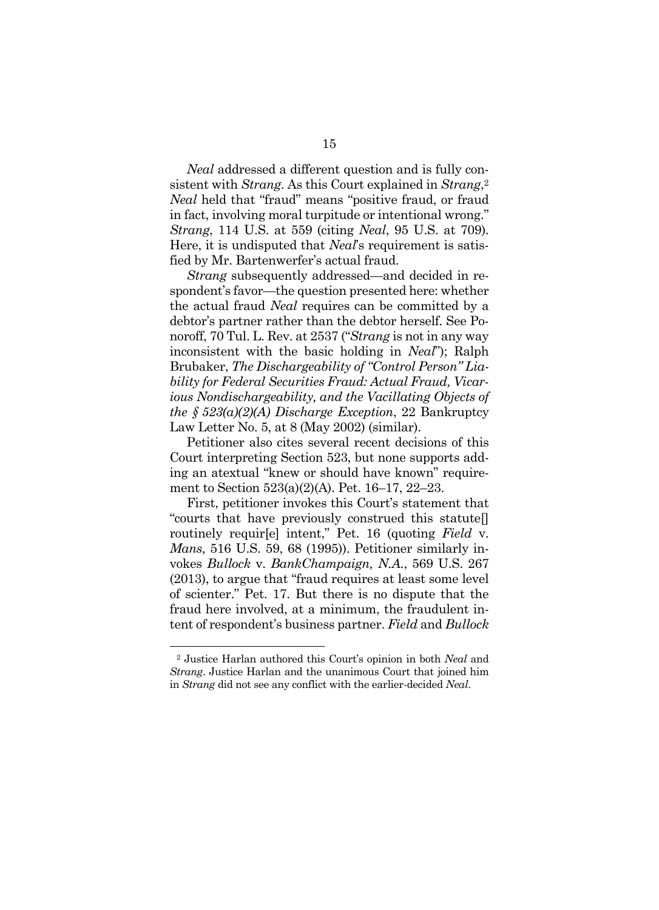*Neal* addressed a different question and is fully consistent with *Strang*. As this Court explained in *Strang*,2 *Neal* held that "fraud" means "positive fraud, or fraud in fact, involving moral turpitude or intentional wrong." *Strang*, 114 U.S. at 559 (citing *Neal*, 95 U.S. at 709). Here, it is undisputed that *Neal*'s requirement is satisfied by Mr. Bartenwerfer's actual fraud.

*Strang* subsequently addressed—and decided in respondent's favor—the question presented here: whether the actual fraud *Neal* requires can be committed by a debtor's partner rather than the debtor herself. See Ponoroff, 70 Tul. L. Rev. at 2537 ("*Strang* is not in any way inconsistent with the basic holding in *Neal*"); Ralph Brubaker, *The Dischargeability of "Control Person" Liability for Federal Securities Fraud: Actual Fraud, Vicarious Nondischargeability, and the Vacillating Objects of the § 523(a)(2)(A) Discharge Exception*, 22 Bankruptcy Law Letter No. 5, at 8 (May 2002) (similar).

Petitioner also cites several recent decisions of this Court interpreting Section 523, but none supports adding an atextual "knew or should have known" requirement to Section 523(a)(2)(A). Pet. 16–17, 22–23.

First, petitioner invokes this Court's statement that "courts that have previously construed this statute[] routinely requir[e] intent," Pet. 16 (quoting *Field* v. *Mans*, 516 U.S. 59, 68 (1995)). Petitioner similarly invokes *Bullock* v. *BankChampaign, N.A.*, 569 U.S. 267 (2013), to argue that "fraud requires at least some level of scienter." Pet. 17. But there is no dispute that the fraud here involved, at a minimum, the fraudulent intent of respondent's business partner. *Field* and *Bullock*

l

<sup>2</sup> Justice Harlan authored this Court's opinion in both *Neal* and *Strang*. Justice Harlan and the unanimous Court that joined him in *Strang* did not see any conflict with the earlier-decided *Neal*.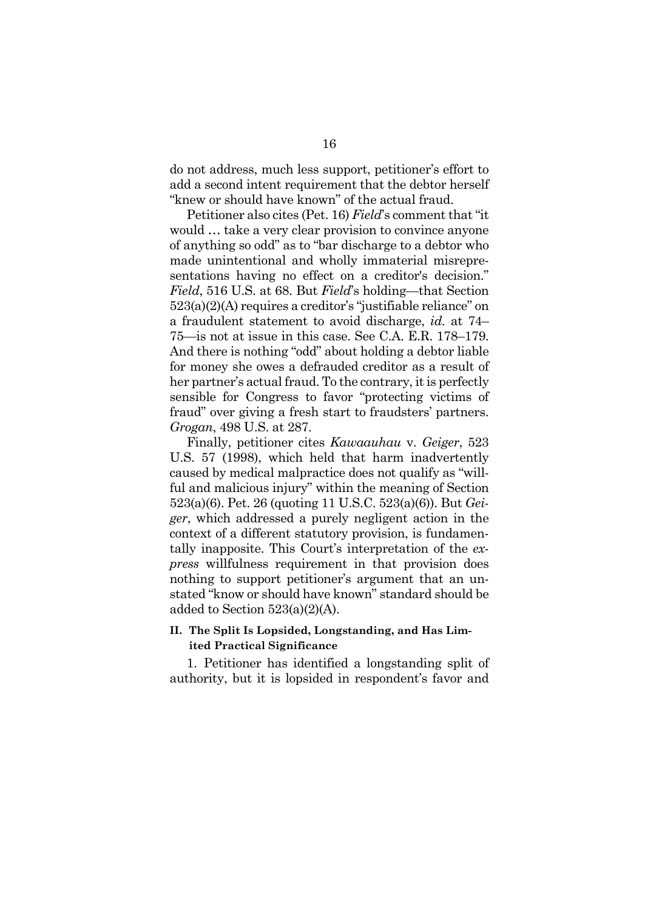do not address, much less support, petitioner's effort to add a second intent requirement that the debtor herself "knew or should have known" of the actual fraud.

Petitioner also cites (Pet. 16) *Field*'s comment that "it would … take a very clear provision to convince anyone of anything so odd" as to "bar discharge to a debtor who made unintentional and wholly immaterial misrepresentations having no effect on a creditor's decision." *Field*, 516 U.S. at 68. But *Field*'s holding—that Section 523(a)(2)(A) requires a creditor's "justifiable reliance" on a fraudulent statement to avoid discharge, *id.* at 74– 75—is not at issue in this case. See C.A. E.R. 178–179. And there is nothing "odd" about holding a debtor liable for money she owes a defrauded creditor as a result of her partner's actual fraud. To the contrary, it is perfectly sensible for Congress to favor "protecting victims of fraud" over giving a fresh start to fraudsters' partners. *Grogan*, 498 U.S. at 287.

Finally, petitioner cites *Kawaauhau* v. *Geiger*, 523 U.S. 57 (1998), which held that harm inadvertently caused by medical malpractice does not qualify as "willful and malicious injury" within the meaning of Section 523(a)(6). Pet. 26 (quoting 11 U.S.C. 523(a)(6)). But *Geiger*, which addressed a purely negligent action in the context of a different statutory provision, is fundamentally inapposite. This Court's interpretation of the *express* willfulness requirement in that provision does nothing to support petitioner's argument that an unstated "know or should have known" standard should be added to Section 523(a)(2)(A).

#### **II. The Split Is Lopsided, Longstanding, and Has Limited Practical Significance**

1. Petitioner has identified a longstanding split of authority, but it is lopsided in respondent's favor and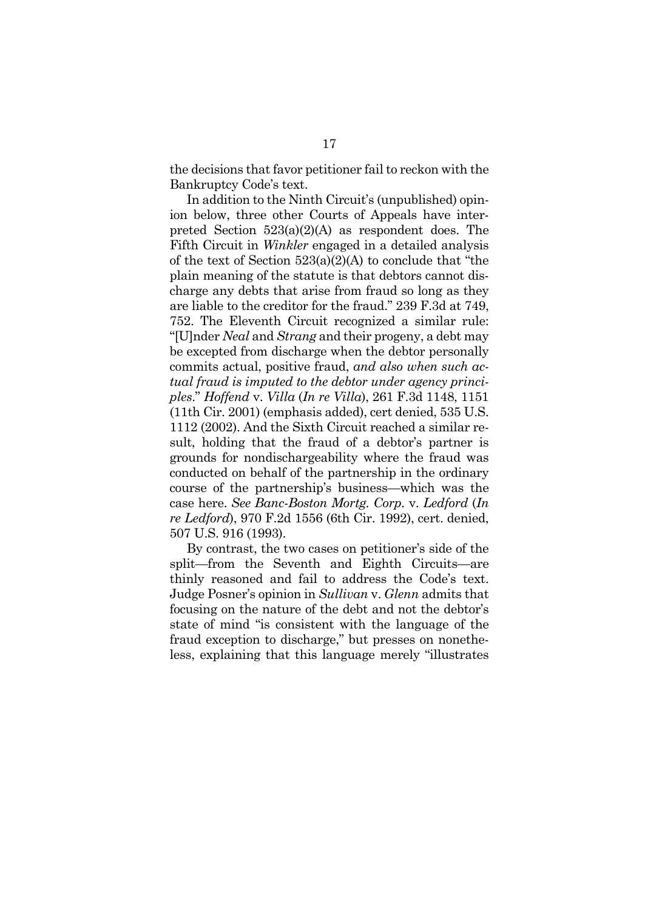the decisions that favor petitioner fail to reckon with the Bankruptcy Code's text.

In addition to the Ninth Circuit's (unpublished) opinion below, three other Courts of Appeals have interpreted Section 523(a)(2)(A) as respondent does. The Fifth Circuit in *Winkler* engaged in a detailed analysis of the text of Section 523(a)(2)(A) to conclude that "the plain meaning of the statute is that debtors cannot discharge any debts that arise from fraud so long as they are liable to the creditor for the fraud." 239 F.3d at 749, 752. The Eleventh Circuit recognized a similar rule: "[U]nder *Neal* and *Strang* and their progeny, a debt may be excepted from discharge when the debtor personally commits actual, positive fraud, *and also when such actual fraud is imputed to the debtor under agency principles*." *Hoffend* v. *Villa* (*In re Villa*), 261 F.3d 1148, 1151 (11th Cir. 2001) (emphasis added), cert denied, 535 U.S. 1112 (2002). And the Sixth Circuit reached a similar result, holding that the fraud of a debtor's partner is grounds for nondischargeability where the fraud was conducted on behalf of the partnership in the ordinary course of the partnership's business—which was the case here. *See Banc-Boston Mortg. Corp.* v. *Ledford* (*In re Ledford*), 970 F.2d 1556 (6th Cir. 1992), cert. denied, 507 U.S. 916 (1993).

By contrast, the two cases on petitioner's side of the split—from the Seventh and Eighth Circuits—are thinly reasoned and fail to address the Code's text. Judge Posner's opinion in *Sullivan* v. *Glenn* admits that focusing on the nature of the debt and not the debtor's state of mind "is consistent with the language of the fraud exception to discharge," but presses on nonetheless, explaining that this language merely "illustrates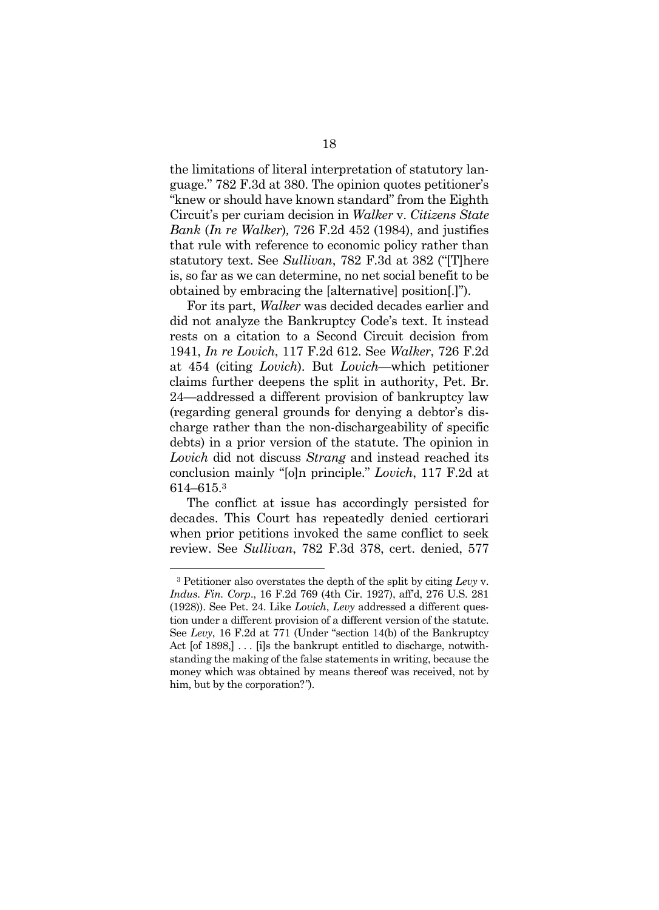the limitations of literal interpretation of statutory language." 782 F.3d at 380. The opinion quotes petitioner's "knew or should have known standard" from the Eighth Circuit's per curiam decision in *Walker* v. *Citizens State Bank* (*In re Walker*)*,* 726 F.2d 452 (1984), and justifies that rule with reference to economic policy rather than statutory text. See *Sullivan*, 782 F.3d at 382 ("[T]here is, so far as we can determine, no net social benefit to be obtained by embracing the [alternative] position[.]").

For its part, *Walker* was decided decades earlier and did not analyze the Bankruptcy Code's text. It instead rests on a citation to a Second Circuit decision from 1941, *In re Lovich*, 117 F.2d 612. See *Walker*, 726 F.2d at 454 (citing *Lovich*). But *Lovich*—which petitioner claims further deepens the split in authority, Pet. Br. 24—addressed a different provision of bankruptcy law (regarding general grounds for denying a debtor's discharge rather than the non-dischargeability of specific debts) in a prior version of the statute. The opinion in *Lovich* did not discuss *Strang* and instead reached its conclusion mainly "[o]n principle." *Lovich*, 117 F.2d at 614–615.3

The conflict at issue has accordingly persisted for decades. This Court has repeatedly denied certiorari when prior petitions invoked the same conflict to seek review. See *Sullivan*, 782 F.3d 378, cert. denied, 577

<sup>3</sup> Petitioner also overstates the depth of the split by citing *Levy* v. *Indus. Fin. Corp*., 16 F.2d 769 (4th Cir. 1927), aff'd, 276 U.S. 281 (1928)). See Pet. 24. Like *Lovich*, *Levy* addressed a different question under a different provision of a different version of the statute. See *Levy*, 16 F.2d at 771 (Under "section 14(b) of the Bankruptcy Act [of 1898,]  $\ldots$  [i]s the bankrupt entitled to discharge, notwithstanding the making of the false statements in writing, because the money which was obtained by means thereof was received, not by him, but by the corporation?*"*).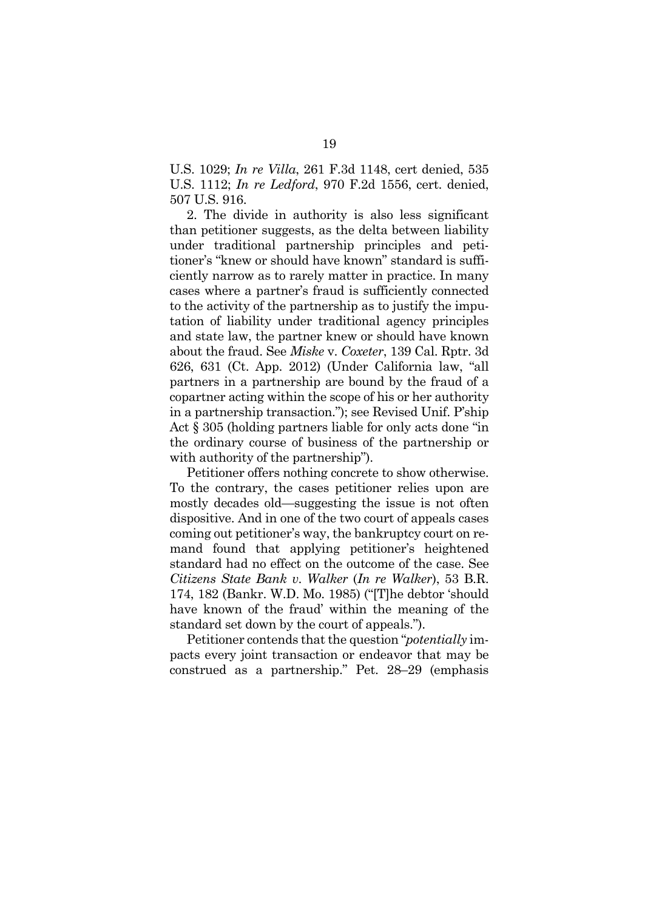U.S. 1029; *In re Villa*, 261 F.3d 1148, cert denied, 535 U.S. 1112; *In re Ledford*, 970 F.2d 1556, cert. denied, 507 U.S. 916.

2. The divide in authority is also less significant than petitioner suggests, as the delta between liability under traditional partnership principles and petitioner's "knew or should have known" standard is sufficiently narrow as to rarely matter in practice. In many cases where a partner's fraud is sufficiently connected to the activity of the partnership as to justify the imputation of liability under traditional agency principles and state law, the partner knew or should have known about the fraud. See *Miske* v. *Coxeter*, 139 Cal. Rptr. 3d 626, 631 (Ct. App. 2012) (Under California law, "all partners in a partnership are bound by the fraud of a copartner acting within the scope of his or her authority in a partnership transaction."); see Revised Unif. P'ship Act § 305 (holding partners liable for only acts done "in the ordinary course of business of the partnership or with authority of the partnership").

Petitioner offers nothing concrete to show otherwise. To the contrary, the cases petitioner relies upon are mostly decades old—suggesting the issue is not often dispositive. And in one of the two court of appeals cases coming out petitioner's way, the bankruptcy court on remand found that applying petitioner's heightened standard had no effect on the outcome of the case. See *Citizens State Bank v*. *Walker* (*In re Walker*), 53 B.R. 174, 182 (Bankr. W.D. Mo. 1985) ("[T]he debtor 'should have known of the fraud' within the meaning of the standard set down by the court of appeals.").

Petitioner contends that the question "*potentially* impacts every joint transaction or endeavor that may be construed as a partnership." Pet. 28–29 (emphasis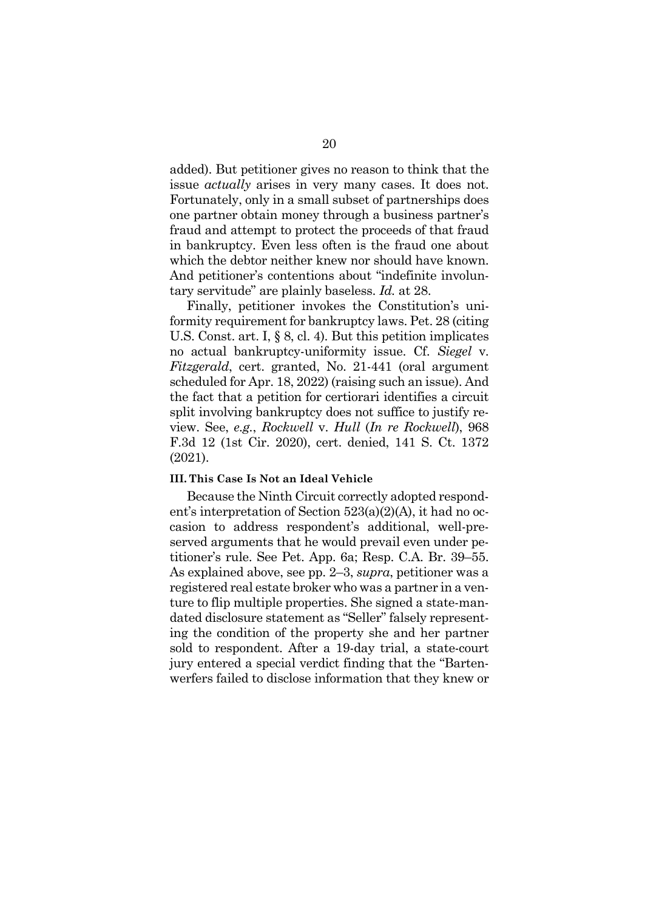added). But petitioner gives no reason to think that the issue *actually* arises in very many cases. It does not. Fortunately, only in a small subset of partnerships does one partner obtain money through a business partner's fraud and attempt to protect the proceeds of that fraud in bankruptcy. Even less often is the fraud one about which the debtor neither knew nor should have known. And petitioner's contentions about "indefinite involuntary servitude" are plainly baseless. *Id.* at 28.

Finally, petitioner invokes the Constitution's uniformity requirement for bankruptcy laws. Pet. 28 (citing U.S. Const. art. I, § 8, cl. 4). But this petition implicates no actual bankruptcy-uniformity issue. Cf. *Siegel* v. *Fitzgerald*, cert. granted, No. 21-441 (oral argument scheduled for Apr. 18, 2022) (raising such an issue). And the fact that a petition for certiorari identifies a circuit split involving bankruptcy does not suffice to justify review. See, *e.g.*, *Rockwell* v. *Hull* (*In re Rockwell*), 968 F.3d 12 (1st Cir. 2020), cert. denied, 141 S. Ct. 1372 (2021).

#### **III. This Case Is Not an Ideal Vehicle**

Because the Ninth Circuit correctly adopted respondent's interpretation of Section 523(a)(2)(A), it had no occasion to address respondent's additional, well-preserved arguments that he would prevail even under petitioner's rule. See Pet. App. 6a; Resp. C.A. Br. 39–55. As explained above, see pp. 2–3, *supra*, petitioner was a registered real estate broker who was a partner in a venture to flip multiple properties. She signed a state-mandated disclosure statement as "Seller" falsely representing the condition of the property she and her partner sold to respondent. After a 19-day trial, a state-court jury entered a special verdict finding that the "Bartenwerfers failed to disclose information that they knew or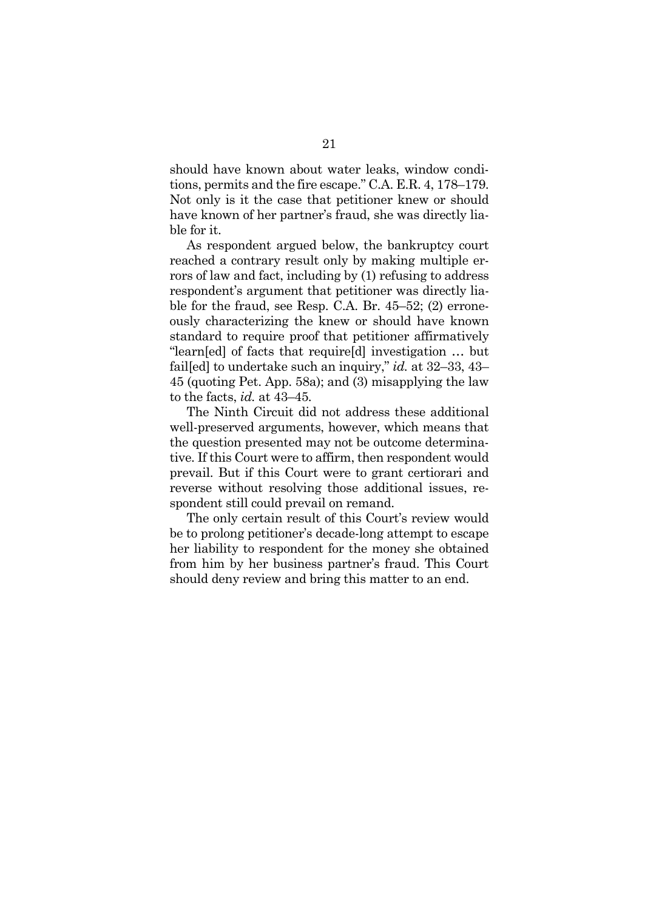should have known about water leaks, window conditions, permits and the fire escape." C.A. E.R. 4, 178–179. Not only is it the case that petitioner knew or should have known of her partner's fraud, she was directly liable for it.

As respondent argued below, the bankruptcy court reached a contrary result only by making multiple errors of law and fact, including by (1) refusing to address respondent's argument that petitioner was directly liable for the fraud, see Resp. C.A. Br. 45–52; (2) erroneously characterizing the knew or should have known standard to require proof that petitioner affirmatively "learn[ed] of facts that require[d] investigation … but fail[ed] to undertake such an inquiry," *id.* at 32–33, 43– 45 (quoting Pet. App. 58a); and (3) misapplying the law to the facts, *id.* at 43–45*.* 

The Ninth Circuit did not address these additional well-preserved arguments, however, which means that the question presented may not be outcome determinative. If this Court were to affirm, then respondent would prevail. But if this Court were to grant certiorari and reverse without resolving those additional issues, respondent still could prevail on remand.

The only certain result of this Court's review would be to prolong petitioner's decade-long attempt to escape her liability to respondent for the money she obtained from him by her business partner's fraud. This Court should deny review and bring this matter to an end.